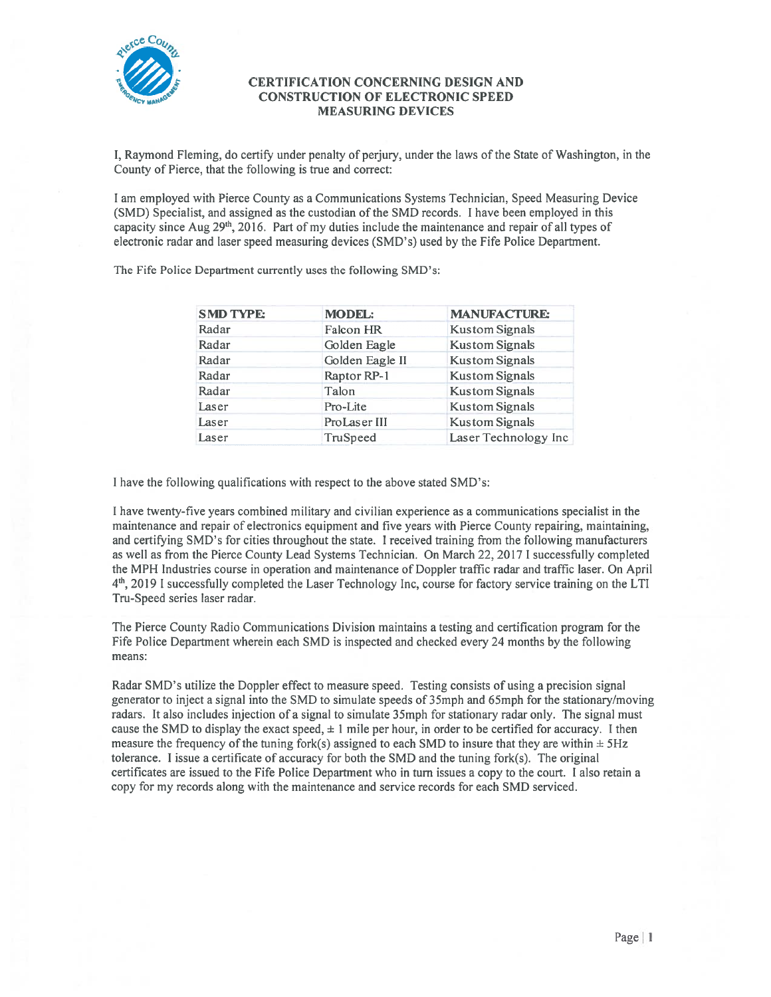

## CERTIFICATION CONCERNING DESIGN AND CONSTRUCTION OF ELECTRONIC SPEED MEASURING DEVICES

I, Raymond Fleming, do certify under penalty of perjury, under the laws of the State of Washington, in the County of Pierce, that the following is true and correct:

I am employed with Pierce County as <sup>a</sup> Communications Systems Technician, Speed Measuring Device (SMD) Specialist, and assigned as the custodian of the SMD records. I have been employed in this capacity since Aug  $29<sup>th</sup>$ , 2016. Part of my duties include the maintenance and repair of all types of electronic radar and laser speed measuring devices (SMD's) used by the fife Police Department.

| <b>SMD TYPE:</b> | <b>MODEL:</b>   | <b>MANUFACTURE:</b>   |
|------------------|-----------------|-----------------------|
| Radar            | Falcon HR       | <b>Kustom Signals</b> |
| Radar            | Golden Eagle    | <b>Kustom Signals</b> |
| Radar            | Golden Eagle II | <b>Kustom Signals</b> |
| Radar            | Raptor RP-1     | <b>Kustom Signals</b> |
| Radar            | Talon           | <b>Kustom Signals</b> |
| Laser            | Pro-Lite        | <b>Kustom Signals</b> |
| Laser            | ProLaser III    | <b>Kustom Signals</b> |
| Laser            | TruSpeed        | Laser Technology Inc  |

The Fife Police Department currently uses the following SMD's:

I have the following qualifications with respec<sup>t</sup> to the above stated SMD's:

I have twenty-five years combined military and civilian experience as <sup>a</sup> communications specialist in the maintenance and repair of electronics equipment and five years with Pierce County repairing, maintaining, and certifying SMD's for cities throughout the state. I received training from the following manufacturers as well as from the Pierce County Lead Systems Technician. On March 22, 2017 I successfully completed the MPH Industries course in operation and maintenance of Doppler traffic radar and traffic laser. On April 4th <sup>2019</sup> <sup>I</sup> successfully completed the Laser Technology Inc, course for factory service training on the LTI Tru-Speed series laser radar.

The Pierce County Radio Communications Division maintains <sup>a</sup> testing and certification program for the Fife Police Department wherein each SMD is inspected and checked every <sup>24</sup> months by the following means:

Radar SMD's utilize the Doppler effect to measure speed. Testing consists of using <sup>a</sup> precision signal generator to inject <sup>a</sup> signal into the SMD to simulate speeds of 35mph and 65mph for the stationary/moving radars. It also includes injection of <sup>a</sup> signal to simulate 35mph for stationary radar only. The signal must cause the SMD to display the exact speed,  $\pm 1$  mile per hour, in order to be certified for accuracy. I then measure the frequency of the tuning fork(s) assigned to each SMD to insure that they are within  $\pm$  5Hz tolerance. I issue <sup>a</sup> certificate of accuracy for both the SMD and the tuning fork(s). The original certificates are issued to the Fife Police Department who in turn issues <sup>a</sup> copy to the court. I also retain <sup>a</sup> copy for my records along with the maintenance and service records for each SMD serviced.